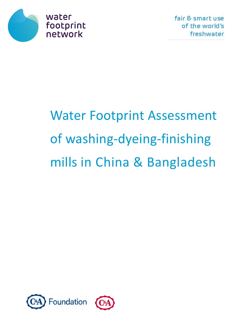

# Water Footprint Assessment of washing-dyeing-finishing mills in China & Bangladesh

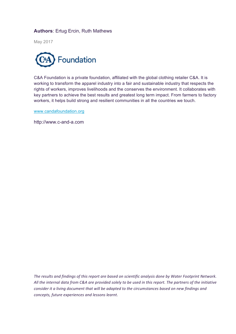#### **Authors**: Ertug Ercin, Ruth Mathews

May 2017



C&A Foundation is a private foundation, affiliated with the global clothing retailer C&A. It is working to transform the apparel industry into a fair and sustainable industry that respects the rights of workers, improves livelihoods and the conserves the environment. It collaborates with key partners to achieve the best results and greatest long term impact. From farmers to factory workers, it helps build strong and resilient communities in all the countries we touch.

www.candafoundation.org

http://www.c-and-a.com

The results and findings of this report are based on scientific analysis done by Water Footprint Network. All the internal data from C&A are provided solely to be used in this report. The partners of the initiative *consider* it a living document that will be adapted to the circumstances based on new findings and *concepts, future experiences and lessons learnt*.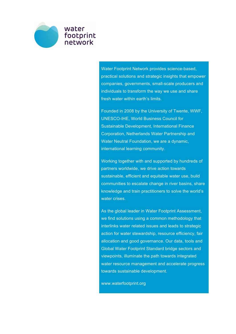

Water Footprint Network provides science-based, practical solutions and strategic insights that empower companies, governments, small-scale producers and individuals to transform the way we use and share fresh water within earth's limits.

Founded in 2008 by the University of Twente, WWF, UNESCO-IHE, World Business Council for Sustainable Development, International Finance Corporation, Netherlands Water Partnership and Water Neutral Foundation, we are a dynamic, international learning community.

Working together with and supported by hundreds of partners worldwide, we drive action towards sustainable, efficient and equitable water use, build communities to escalate change in river basins, share knowledge and train practitioners to solve the world's water crises.

As the global leader in Water Footprint Assessment, we find solutions using a common methodology that interlinks water related issues and leads to strategic action for water stewardship, resource efficiency, fair allocation and good governance. Our data, tools and Global Water Footprint Standard bridge sectors and viewpoints, illuminate the path towards integrated water resource management and accelerate progress towards sustainable development.

www.waterfootprint.org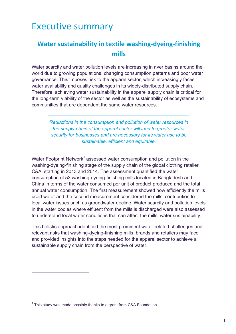# **Executive summary**

#### **Water sustainability in textile washing-dyeing-finishing mills**

Water scarcity and water pollution levels are increasing in river basins around the world due to growing populations, changing consumption patterns and poor water governance. This imposes risk to the apparel sector, which increasingly faces water availability and quality challenges in its widely-distributed supply chain. Therefore, achieving water sustainability in the apparel supply chain is critical for the long-term viability of the sector as well as the sustainability of ecosystems and communities that are dependent the same water resources.

> *Reductions in the consumption and pollution of water resources in the supply-chain of the apparel sector will lead to greater water security for businesses and are necessary for its water use to be sustainable, efficient and equitable.*

Water Footprint Network<sup>1</sup> assessed water consumption and pollution in the washing-dyeing-finishing stage of the supply chain of the global clothing retailer C&A, starting in 2013 and 2014. The assessment quantified the water consumption of 53 washing-dyeing-finishing mills located in Bangladesh and China in terms of the water consumed per unit of product produced and the total annual water consumption. The first measurement showed how efficiently the mills used water and the second measurement considered the mills' contribution to local water issues such as groundwater decline. Water scarcity and pollution levels in the water bodies where effluent from the mills is discharged were also assessed to understand local water conditions that can affect the mills' water sustainability.

This holistic approach identified the most prominent water-related challenges and relevant risks that washing-dyeing-finishing mills, brands and retailers may face and provided insights into the steps needed for the apparel sector to achieve a sustainable supply chain from the perspective of water.

 $\overline{a}$ 

 $1$  This study was made possible thanks to a grant from C&A Foundation.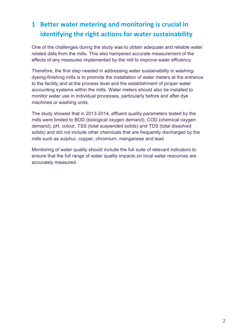### **1 Better water metering and monitoring is crucial in identifying the right actions for water sustainability**

One of the challenges during the study was to obtain adequate and reliable water related data from the mills. This also hampered accurate measurement of the effects of any measures implemented by the mill to improve water efficiency.

Therefore, the first step needed in addressing water sustainability in washingdyeing-finishing mills is to promote the installation of water meters at the entrance to the facility and at the process level and the establishment of proper water accounting systems within the mills. Water meters should also be installed to monitor water use in individual processes, particularly before and after dye machines or washing units.

The study showed that in 2013-2014, effluent quality parameters tested by the mills were limited to BOD (biological oxygen demand), COD (chemical oxygen demand), pH, colour, TSS (total suspended solids) and TDS (total dissolved solids) and did not include other chemicals that are frequently discharged by the mills such as sulphur, copper, chromium, manganese and lead.

Monitoring of water quality should include the full suite of relevant indicators to ensure that the full range of water quality impacts on local water resources are accurately measured.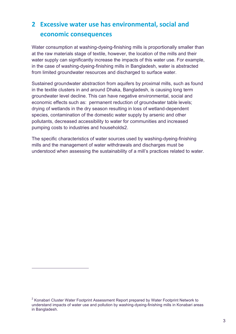# **2 Excessive water use has environmental, social and economic consequences**

Water consumption at washing-dyeing-finishing mills is proportionally smaller than at the raw materials stage of textile, however, the location of the mills and their water supply can significantly increase the impacts of this water use. For example, in the case of washing-dyeing-finishing mills in Bangladesh, water is abstracted from limited groundwater resources and discharged to surface water.

Sustained groundwater abstraction from aquifers by proximal mills, such as found in the textile clusters in and around Dhaka, Bangladesh, is causing long term groundwater level decline. This can have negative environmental, social and economic effects such as: permanent reduction of groundwater table levels; drying of wetlands in the dry season resulting in loss of wetland-dependent species, contamination of the domestic water supply by arsenic and other pollutants, decreased accessibility to water for communities and increased pumping costs to industries and households2.

The specific characteristics of water sources used by washing-dyeing-finishing mills and the management of water withdrawals and discharges must be understood when assessing the sustainability of a mill's practices related to water.

 $\overline{a}$ 

 $2$  Konabari Cluster Water Footprint Assessment Report prepared by Water Footprint Network to understand impacts of water use and pollution by washing-dyeing-finishing mills in Konabari areas in Bangladesh.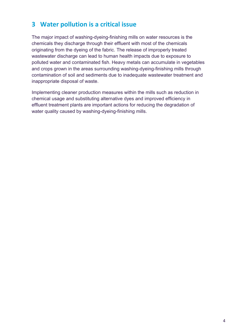#### **3 Water pollution is a critical issue**

The major impact of washing-dyeing-finishing mills on water resources is the chemicals they discharge through their effluent with most of the chemicals originating from the dyeing of the fabric. The release of improperly treated wastewater discharge can lead to human health impacts due to exposure to polluted water and contaminated fish. Heavy metals can accumulate in vegetables and crops grown in the areas surrounding washing-dyeing-finishing mills through contamination of soil and sediments due to inadequate wastewater treatment and inappropriate disposal of waste.

Implementing cleaner production measures within the mills such as reduction in chemical usage and substituting alternative dyes and improved efficiency in effluent treatment plants are important actions for reducing the degradation of water quality caused by washing-dyeing-finishing mills.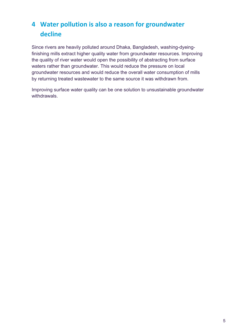# 4 **Water pollution is also a reason for groundwater decline**

Since rivers are heavily polluted around Dhaka, Bangladesh, washing-dyeingfinishing mills extract higher quality water from groundwater resources. Improving the quality of river water would open the possibility of abstracting from surface waters rather than groundwater. This would reduce the pressure on local groundwater resources and would reduce the overall water consumption of mills by returning treated wastewater to the same source it was withdrawn from.

Improving surface water quality can be one solution to unsustainable groundwater withdrawals.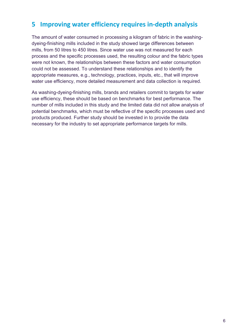#### **5** Improving water efficiency requires in-depth analysis

The amount of water consumed in processing a kilogram of fabric in the washingdyeing-finishing mills included in the study showed large differences between mills, from 50 litres to 450 litres. Since water use was not measured for each process and the specific processes used, the resulting colour and the fabric types were not known, the relationships between these factors and water consumption could not be assessed. To understand these relationships and to identify the appropriate measures, e.g., technology, practices, inputs, etc., that will improve water use efficiency, more detailed measurement and data collection is required.

As washing-dyeing-finishing mills, brands and retailers commit to targets for water use efficiency, these should be based on benchmarks for best performance. The number of mills included in this study and the limited data did not allow analysis of potential benchmarks, which must be reflective of the specific processes used and products produced. Further study should be invested in to provide the data necessary for the industry to set appropriate performance targets for mills.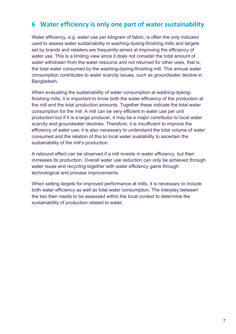#### **6** Water efficiency is only one part of water sustainability

Water efficiency, e.g. water use per kilogram of fabric, is often the only indicator used to assess water sustainability in washing-dyeing-finishing mills and targets set by brands and retailers are frequently aimed at improving the efficiency of water use. This is a limiting view since it does not consider the total amount of water withdrawn from the water resource and not returned for other uses, that is, the total water consumed by the washing-dyeing-finishing mill. This annual water consumption contributes to water scarcity issues, such as groundwater decline in Bangladesh.

When evaluating the sustainability of water consumption at washing-dyeingfinishing mills, it is important to know both the water efficiency of the production at the mill and the total production amounts. Together these indicate the total water consumption for the mill. A mill can be very efficient in water use per unit production but if it is a large producer, it may be a major contributor to local water scarcity and groundwater declines. Therefore, it is insufficient to improve the efficiency of water use; it is also necessary to understand the total volume of water consumed and the relation of this to local water availability to ascertain the sustainability of the mill's production.

A rebound effect can be observed if a mill invests in water efficiency, but then increases its production. Overall water use reduction can only be achieved through water reuse and recycling together with water efficiency gains through technological and process improvements.

When setting targets for improved performance at mills, it is necessary to include both water efficiency as well as total water consumption. The interplay between the two then needs to be assessed within the local context to determine the sustainability of production related to water.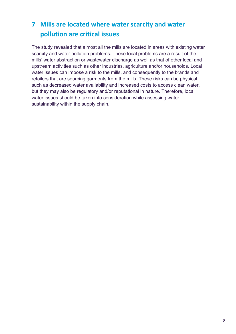# **7** Mills are located where water scarcity and water **pollution are critical issues**

The study revealed that almost all the mills are located in areas with existing water scarcity and water pollution problems. These local problems are a result of the mills' water abstraction or wastewater discharge as well as that of other local and upstream activities such as other industries, agriculture and/or households. Local water issues can impose a risk to the mills, and consequently to the brands and retailers that are sourcing garments from the mills. These risks can be physical, such as decreased water availability and increased costs to access clean water, but they may also be regulatory and/or reputational in nature. Therefore, local water issues should be taken into consideration while assessing water sustainability within the supply chain.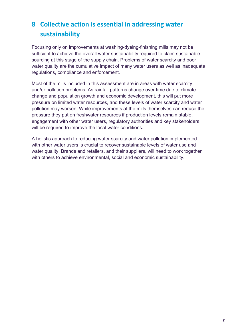# **8 Collective action is essential in addressing water sustainability**

Focusing only on improvements at washing-dyeing-finishing mills may not be sufficient to achieve the overall water sustainability required to claim sustainable sourcing at this stage of the supply chain. Problems of water scarcity and poor water quality are the cumulative impact of many water users as well as inadequate regulations, compliance and enforcement.

Most of the mills included in this assessment are in areas with water scarcity and/or pollution problems. As rainfall patterns change over time due to climate change and population growth and economic development, this will put more pressure on limited water resources, and these levels of water scarcity and water pollution may worsen. While improvements at the mills themselves can reduce the pressure they put on freshwater resources if production levels remain stable, engagement with other water users, regulatory authorities and key stakeholders will be required to improve the local water conditions.

A holistic approach to reducing water scarcity and water pollution implemented with other water users is crucial to recover sustainable levels of water use and water quality. Brands and retailers, and their suppliers, will need to work together with others to achieve environmental, social and economic sustainability.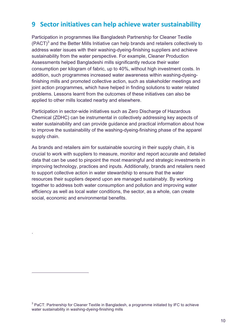#### **9** Sector initiatives can help achieve water sustainability

Participation in programmes like Bangladesh Partnership for Cleaner Textile  $(PACT)<sup>3</sup>$  and the Better Mills Initiative can help brands and retailers collectively to address water issues with their washing-dyeing-finishing suppliers and achieve sustainability from the water perspective. For example, Cleaner Production Assessments helped Bangladeshi mills significantly reduce their water consumption per kilogram of fabric, up to 40%, without high investment costs. In addition, such programmes increased water awareness within washing-dyeingfinishing mills and promoted collective action, such as stakeholder meetings and joint action programmes, which have helped in finding solutions to water related problems. Lessons learnt from the outcomes of these initiatives can also be applied to other mills located nearby and elsewhere.

Participation in sector-wide initiatives such as Zero Discharge of Hazardous Chemical (ZDHC) can be instrumental in collectively addressing key aspects of water sustainability and can provide guidance and practical information about how to improve the sustainability of the washing-dyeing-finishing phase of the apparel supply chain.

As brands and retailers aim for sustainable sourcing in their supply chain, it is crucial to work with suppliers to measure, monitor and report accurate and detailed data that can be used to pinpoint the most meaningful and strategic investments in improving technology, practices and inputs. Additionally, brands and retailers need to support collective action in water stewardship to ensure that the water resources their suppliers depend upon are managed sustainably. By working together to address both water consumption and pollution and improving water efficiency as well as local water conditions, the sector, as a whole, can create social, economic and environmental benefits.

.

 $\overline{a}$ 

<sup>&</sup>lt;sup>3</sup> PaCT: Partnership for Cleaner Textile in Bangladesh, a programme initiated by IFC to achieve water sustainability in washing-dyeing-finishing mills